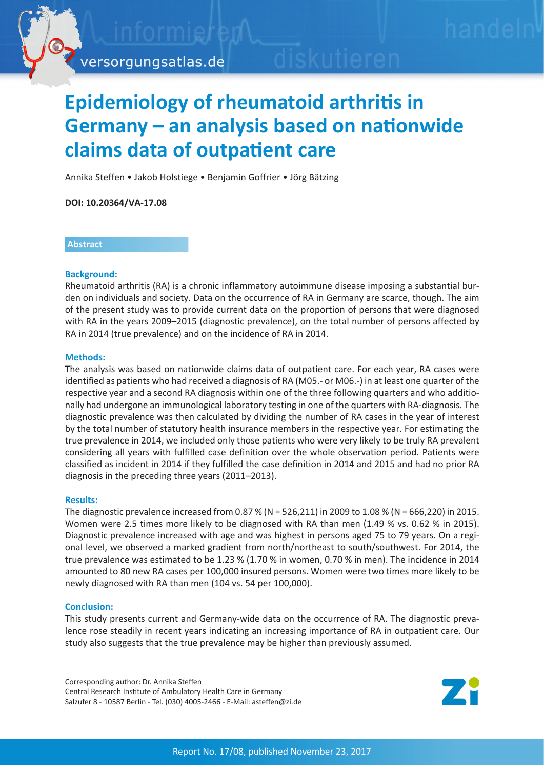

# **Epidemiology of rheumatoid arthritis in Germany – an analysis based on nationwide claims data of outpatient care**

Annika Steffen • Jakob Holstiege • Benjamin Goffrier • Jörg Bätzing

**DOI: 10.20364/VA-17.08**

#### **Abstract**

#### **Background:**

Rheumatoid arthritis (RA) is a chronic inflammatory autoimmune disease imposing a substantial burden on individuals and society. Data on the occurrence of RA in Germany are scarce, though. The aim of the present study was to provide current data on the proportion of persons that were diagnosed with RA in the years 2009–2015 (diagnostic prevalence), on the total number of persons affected by RA in 2014 (true prevalence) and on the incidence of RA in 2014.

#### **Methods:**

The analysis was based on nationwide claims data of outpatient care. For each year, RA cases were identified as patients who had received a diagnosis of RA (M05.- or M06.-) in at least one quarter of the respective year and a second RA diagnosis within one of the three following quarters and who additionally had undergone an immunological laboratory testing in one of the quarters with RA-diagnosis. The diagnostic prevalence was then calculated by dividing the number of RA cases in the year of interest by the total number of statutory health insurance members in the respective year. For estimating the true prevalence in 2014, we included only those patients who were very likely to be truly RA prevalent considering all years with fulfilled case definition over the whole observation period. Patients were classified as incident in 2014 if they fulfilled the case definition in 2014 and 2015 and had no prior RA diagnosis in the preceding three years (2011–2013).

## **Results:**

The diagnostic prevalence increased from 0.87 % (N = 526,211) in 2009 to 1.08 % (N = 666,220) in 2015. Women were 2.5 times more likely to be diagnosed with RA than men (1.49 % vs. 0.62 % in 2015). Diagnostic prevalence increased with age and was highest in persons aged 75 to 79 years. On a regional level, we observed a marked gradient from north/northeast to south/southwest. For 2014, the true prevalence was estimated to be 1.23 % (1.70 % in women, 0.70 % in men). The incidence in 2014 amounted to 80 new RA cases per 100,000 insured persons. Women were two times more likely to be newly diagnosed with RA than men (104 vs. 54 per 100,000).

## **Conclusion:**

This study presents current and Germany-wide data on the occurrence of RA. The diagnostic prevalence rose steadily in recent years indicating an increasing importance of RA in outpatient care. Our study also suggests that the true prevalence may be higher than previously assumed.

Corresponding author: Dr. Annika Steffen Central Research Institute of Ambulatory Health Care in Germany Salzufer 8 - 10587 Berlin - Tel. (030) 4005-2466 - E-Mail: asteffen@zi.de